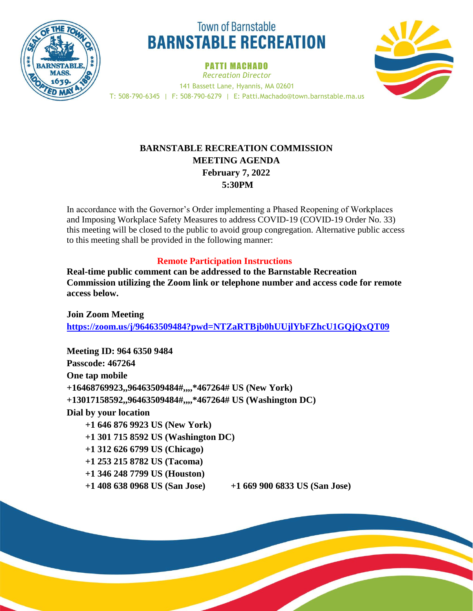

# **Town of Barnstable BARNSTABLE RECREATION**

PATTI MACHADO *Recreation Director* 141 Bassett Lane, Hyannis, MA 02601 T: 508-790-6345 | F: 508-790-6279 | E: Patti.Machado@town.barnstable.ma.us



## **BARNSTABLE RECREATION COMMISSION MEETING AGENDA February 7, 2022 5:30PM**

In accordance with the Governor's Order implementing a Phased Reopening of Workplaces and Imposing Workplace Safety Measures to address COVID-19 (COVID-19 Order No. 33) this meeting will be closed to the public to avoid group congregation. Alternative public access to this meeting shall be provided in the following manner:

## **Remote Participation Instructions**

**Real-time public comment can be addressed to the Barnstable Recreation Commission utilizing the Zoom link or telephone number and access code for remote access below.** 

**Join Zoom Meeting <https://zoom.us/j/96463509484?pwd=NTZaRTBjb0hUUjlYbFZhcU1GQjQxQT09>**

**Meeting ID: 964 6350 9484 Passcode: 467264 One tap mobile +16468769923,,96463509484#,,,,\*467264# US (New York) +13017158592,,96463509484#,,,,\*467264# US (Washington DC) Dial by your location +1 646 876 9923 US (New York) +1 301 715 8592 US (Washington DC) +1 312 626 6799 US (Chicago) +1 253 215 8782 US (Tacoma) +1 346 248 7799 US (Houston) +1 408 638 0968 US (San Jose) +1 669 900 6833 US (San Jose)**